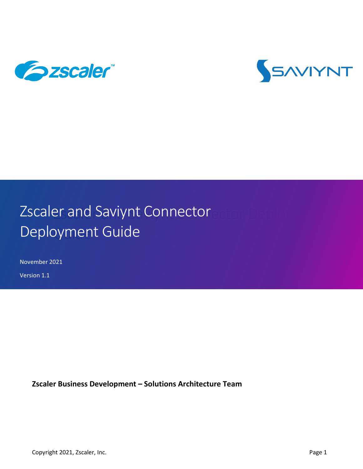



# Zscaler and Saviynt Connector Deployment Connector Deployment Guide

November 2021

Version 1.1

**Zscaler Business Development – Solutions Architecture Team**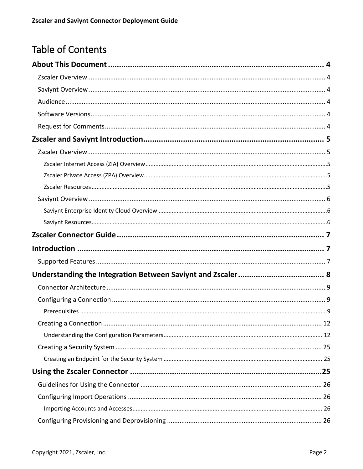# Table of Contents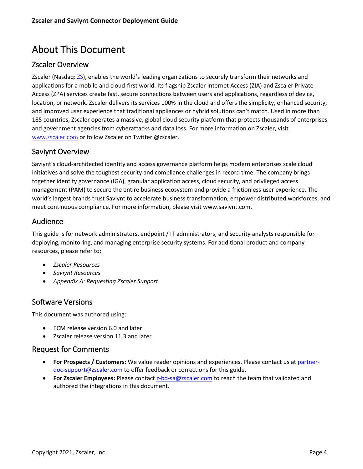# <span id="page-3-0"></span>About This Document

# <span id="page-3-1"></span>Zscaler Overview

Zscaler (Nasdaq: [ZS](https://www.nasdaq.com/market-activity/stocks/zs)), enables the world's leading organizations to securely transform their networks and applications for a mobile and cloud-first world. Its flagship Zscaler Internet Access (ZIA) and Zscaler Private Access (ZPA) services create fast, secure connections between users and applications, regardless of device, location, or network. Zscaler delivers its services 100% in the cloud and offers the simplicity, enhanced security, and improved user experience that traditional appliances or hybrid solutions can't match. Used in more than 185 countries, Zscaler operates a massive, global cloud security platform that protects thousands of enterprises and government agencies from cyberattacks and data loss. For more information on Zscaler, visit [www.zscaler.com](http://www.zscaler.com/) or follow Zscaler on Twitter @zscaler.

# <span id="page-3-2"></span>Saviynt Overview

Saviynt's cloud-architected identity and access governance platform helps modern enterprises scale cloud initiatives and solve the toughest security and compliance challenges in record time. The company brings together identity governance (IGA), granular application access, cloud security, and privileged access management (PAM) to secure the entire business ecosystem and provide a frictionless user experience. The world's largest brands trust Saviynt to accelerate business transformation, empower distributed workforces, and meet continuous compliance. For more information, please visit www.saviynt.com.  

### <span id="page-3-3"></span>Audience

This guide is for network administrators, endpoint / IT administrators, and security analysts responsible for deploying, monitoring, and managing enterprise security systems. For additional product and company resources, please refer to:

- *[Zscaler Resources](#page-4-4)*
- *[Saviynt Resources](#page-5-2)*
- *[Appendix A: Requesting Zscaler Support](#page-26-2)*

# <span id="page-3-4"></span>Software Versions

This document was authored using:

- ECM release version 6.0 and later
- Zscaler release version 11.3 and later

### <span id="page-3-5"></span>Request for Comments

- **For Prospects / Customers:** We value reader opinions and experiences. Please contact us at [partner](mailto:partner-doc-support@zscaler.com)[doc-support@zscaler.com](mailto:partner-doc-support@zscaler.com) to offer feedback or corrections for this guide.
- **For Zscaler Employees:** Please contact [z-bd-sa@zscaler.com](mailto:z-bd-sa@zscaler.com) to reach the team that validated and authored the integrations in this document.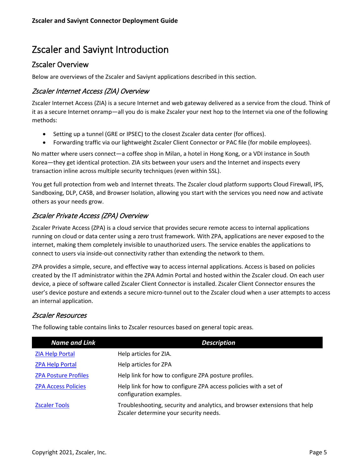# <span id="page-4-0"></span>Zscaler and Saviynt Introduction

# <span id="page-4-1"></span>Zscaler Overview

Below are overviews of the Zscaler and Saviynt applications described in this section.

### <span id="page-4-2"></span>Zscaler Internet Access (ZIA) Overview

Zscaler Internet Access (ZIA) is a secure Internet and web gateway delivered as a service from the cloud. Think of it as a secure Internet onramp—all you do is make Zscaler your next hop to the Internet via one of the following methods:

- Setting up a tunnel (GRE or IPSEC) to the closest Zscaler data center (for offices).
- Forwarding traffic via our lightweight Zscaler Client Connector or PAC file (for mobile employees).

No matter where users connect—a coffee shop in Milan, a hotel in Hong Kong, or a VDI instance in South Korea—they get identical protection. ZIA sits between your users and the Internet and inspects every transaction inline across multiple security techniques (even within SSL).

You get full protection from web and Internet threats. The Zscaler cloud platform supports Cloud Firewall, IPS, Sandboxing, DLP, CASB, and Browser Isolation, allowing you start with the services you need now and activate others as your needs grow.

# <span id="page-4-3"></span>Zscaler Private Access (ZPA) Overview

Zscaler Private Access (ZPA) is a cloud service that provides secure remote access to internal applications running on cloud or data center using a zero trust framework. With ZPA, applications are never exposed to the internet, making them completely invisible to unauthorized users. The service enables the applications to connect to users via inside-out connectivity rather than extending the network to them.

ZPA provides a simple, secure, and effective way to access internal applications. Access is based on policies created by the IT administrator within the ZPA Admin Portal and hosted within the Zscaler cloud. On each user device, a piece of software called Zscaler Client Connector is installed. Zscaler Client Connector ensures the user's device posture and extends a secure micro-tunnel out to the Zscaler cloud when a user attempts to access an internal application.

### <span id="page-4-4"></span>Zscaler Resources

The following table contains links to Zscaler resources based on general topic areas.

| Name and Link               | <b>Description</b>                                                                                                  |
|-----------------------------|---------------------------------------------------------------------------------------------------------------------|
| <b>ZIA Help Portal</b>      | Help articles for ZIA.                                                                                              |
| <b>ZPA Help Portal</b>      | Help articles for ZPA                                                                                               |
| <b>ZPA Posture Profiles</b> | Help link for how to configure ZPA posture profiles.                                                                |
| <b>ZPA Access Policies</b>  | Help link for how to configure ZPA access policies with a set of<br>configuration examples.                         |
| <b>Zscaler Tools</b>        | Troubleshooting, security and analytics, and browser extensions that help<br>Zscaler determine your security needs. |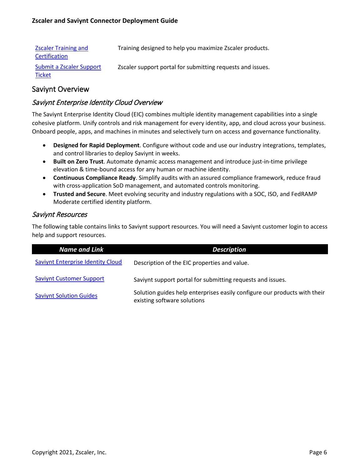| <b>Zscaler Training and</b><br>Certification | Training designed to help you maximize Zscaler products.   |
|----------------------------------------------|------------------------------------------------------------|
| Submit a Zscaler Support<br>Ticket           | Zscaler support portal for submitting requests and issues. |

### <span id="page-5-0"></span>Saviynt Overview

### <span id="page-5-1"></span>Saviynt Enterprise Identity Cloud Overview

The Saviynt Enterprise Identity Cloud (EIC) combines multiple identity management capabilities into a single cohesive platform. Unify controls and risk management for every identity, app, and cloud across your business. Onboard people, apps, and machines in minutes and selectively turn on access and governance functionality.

- **Designed for Rapid Deployment**. Configure without code and use our industry integrations, templates, and control libraries to deploy Saviynt in weeks.
- **Built on Zero Trust**. Automate dynamic access management and introduce just-in-time privilege elevation & time-bound access for any human or machine identity.
- **Continuous Compliance Ready**. Simplify audits with an assured compliance framework, reduce fraud with cross-application SoD management, and automated controls monitoring.
- **Trusted and Secure**. Meet evolving security and industry regulations with a SOC, ISO, and FedRAMP Moderate certified identity platform.

#### <span id="page-5-2"></span>Saviynt Resources

The following table contains links to Saviynt support resources. You will need a Saviynt customer login to access help and support resources.

| <b>Name and Link</b>                     | <b>Description</b>                                                                                       |
|------------------------------------------|----------------------------------------------------------------------------------------------------------|
| <b>Saviynt Enterprise Identity Cloud</b> | Description of the EIC properties and value.                                                             |
| <b>Saviynt Customer Support</b>          | Saviynt support portal for submitting requests and issues.                                               |
| <b>Saviynt Solution Guides</b>           | Solution guides help enterprises easily configure our products with their<br>existing software solutions |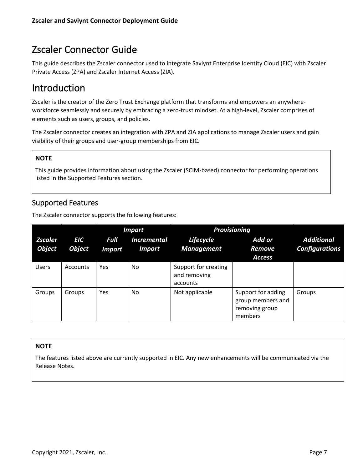# <span id="page-6-0"></span>Zscaler Connector Guide

This guide describes the Zscaler connector used to integrate Saviynt Enterprise Identity Cloud (EIC) with Zscaler Private Access (ZPA) and Zscaler Internet Access (ZIA).

# <span id="page-6-1"></span>Introduction

Zscaler is the creator of the Zero Trust Exchange platform that transforms and empowers an anywhereworkforce seamlessly and securely by embracing a zero-trust mindset. At a high-level, Zscaler comprises of elements such as users, groups, and policies.

The Zscaler connector creates an integration with ZPA and ZIA applications to manage Zscaler users and gain visibility of their groups and user-group memberships from EIC.

# **NOTE**

This guide provides information about using the Zscaler (SCIM-based) connector for performing operations listed in the Supported Features section.

# <span id="page-6-2"></span>Supported Features

The Zscaler connector supports the following features:

|                                 |                             |                              | <b>Import</b>                       |                                                  | <b>Provisioning</b>                                                  |                                            |
|---------------------------------|-----------------------------|------------------------------|-------------------------------------|--------------------------------------------------|----------------------------------------------------------------------|--------------------------------------------|
| <b>Zscaler</b><br><b>Object</b> | <b>EIC</b><br><b>Object</b> | <b>Full</b><br><b>Import</b> | <b>Incremental</b><br><b>Import</b> | Lifecycle<br><b>Management</b>                   | Add or<br>Remove<br><b>Access</b>                                    | <b>Additional</b><br><b>Configurations</b> |
| <b>Users</b>                    | Accounts                    | Yes                          | No                                  | Support for creating<br>and removing<br>accounts |                                                                      |                                            |
| Groups                          | Groups                      | Yes                          | No.                                 | Not applicable                                   | Support for adding<br>group members and<br>removing group<br>members | Groups                                     |

#### **NOTE**

The features listed above are currently supported in EIC. Any new enhancements will be communicated via the Release Notes.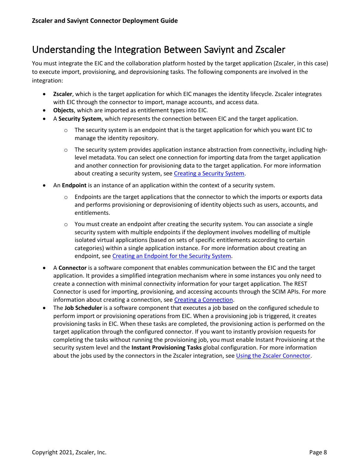# <span id="page-7-0"></span>Understanding the Integration Between Saviynt and Zscaler

You must integrate the EIC and the collaboration platform hosted by the target application (Zscaler, in this case) to execute import, provisioning, and deprovisioning tasks. The following components are involved in the integration:

- **Zscaler**, which is the target application for which EIC manages the identity lifecycle. Zscaler integrates with EIC through the connector to import, manage accounts, and access data.
- **Objects**, which are imported as entitlement types into EIC.
- A **Security System**, which represents the connection between EIC and the target application.
	- $\circ$  The security system is an endpoint that is the target application for which you want EIC to manage the identity repository.
	- o The security system provides application instance abstraction from connectivity, including highlevel metadata. You can select one connection for importing data from the target application and another connection for provisioning data to the target application. For more information about creating a security system, se[e Creating a Security System.](https://saviynt.freshdesk.com/support/solutions/articles/43000638736#ZscalerConnectorGuide-CreatingaSecuritySystem)
- An **Endpoint** is an instance of an application within the context of a security system.
	- $\circ$  Endpoints are the target applications that the connector to which the imports or exports data and performs provisioning or deprovisioning of identity objects such as users, accounts, and entitlements.
	- $\circ$  You must create an endpoint after creating the security system. You can associate a single security system with multiple endpoints if the deployment involves modelling of multiple isolated virtual applications (based on sets of specific entitlements according to certain categories) within a single application instance. For more information about creating an endpoint, se[e Creating an Endpoint for the Security System.](https://saviynt.freshdesk.com/support/solutions/articles/43000638736#ZscalerConnectorGuide-CreatinganEndpointfortheSecuritySystem)
- A **Connector** is a software component that enables communication between the EIC and the target application. It provides a simplified integration mechanism where in some instances you only need to create a connection with minimal connectivity information for your target application. The REST Connector is used for importing, provisioning, and accessing accounts through the SCIM APIs. For more information about creating a connection, see [Creating a Connection.](https://saviynt.freshdesk.com/support/solutions/articles/43000431233-creating-connections)
- The **Job Scheduler** is a software component that executes a job based on the configured schedule to perform import or provisioning operations from EIC. When a provisioning job is triggered, it creates provisioning tasks in EIC. When these tasks are completed, the provisioning action is performed on the target application through the configured connector. If you want to instantly provision requests for completing the tasks without running the provisioning job, you must enable Instant Provisioning at the security system level and the **Instant Provisioning Tasks** global configuration. For more information about the jobs used by the connectors in the Zscaler integration, see [Using the Zscaler Connector.](https://saviynt.freshdesk.com/support/solutions/articles/43000638736#ZscalerConnectorGuide-UsingtheZscalerConnector)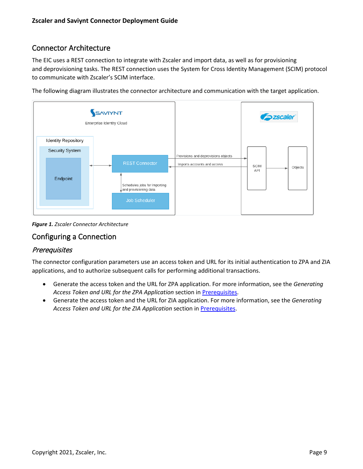# <span id="page-8-0"></span>Connector Architecture

The EIC uses a REST connection to integrate with Zscaler and import data, as well as for provisioning and deprovisioning tasks. The REST connection uses the System for Cross Identity Management (SCIM) protocol to communicate with Zscaler's SCIM interface.

The following diagram illustrates the connector architecture and communication with the target application.



*Figure 1. Zscaler Connector Architecture*

# <span id="page-8-1"></span>Configuring a Connection

### <span id="page-8-2"></span>**Prerequisites**

The connector configuration parameters use an access token and URL for its initial authentication to ZPA and ZIA applications, and to authorize subsequent calls for performing additional transactions.

- Generate the access token and the URL for ZPA application. For more information, see the *Generating Access Token and URL for the ZPA Application* section in [Prerequisites.](https://saviynt.freshdesk.com/support/solutions/articles/43000638736#ZscalerConnectorGuide-Prerequisites)
- Generate the access token and the URL for ZIA application. For more information, see the *Generating Access Token and URL for the ZIA Application* section in [Prerequisites.](https://saviynt.freshdesk.com/support/solutions/articles/43000638736#ZscalerConnectorGuide-Prerequisites)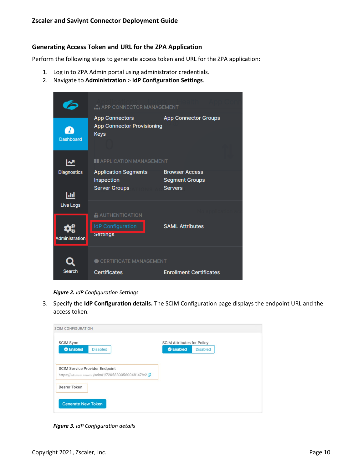#### **Generating Access Token and URL for the ZPA Application**

Perform the following steps to generate access token and URL for the ZPA application:

- 1. Log in to ZPA Admin portal using administrator credentials.
- 2. Navigate to **Administration** > **IdP Configuration Settings**.



*Figure 2. IdP Configuration Settings*

3. Specify the **IdP Configuration details.** The SCIM Configuration page displays the endpoint URL and the access token.

| <b>SCIM CONFIGURATION</b>                                                                                |                                                                          |
|----------------------------------------------------------------------------------------------------------|--------------------------------------------------------------------------|
| <b>SCIM Sync</b><br>C Enabled<br><b>Disabled</b>                                                         | <b>SCIM Attributes for Policy</b><br><b>C</b> Enabled<br><b>Disabled</b> |
| <b>SCIM Service Provider Endpoint</b><br>https:// <domain name=""> /scim/1/72058300560048147/v2</domain> |                                                                          |
| Bearer Token                                                                                             |                                                                          |
| <b>Generate New Token</b>                                                                                |                                                                          |

*Figure 3. IdP Configuration details*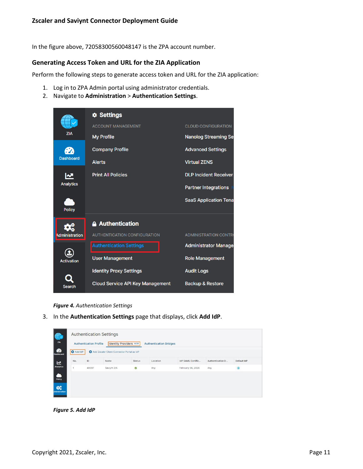In the figure above, 72058300560048147 is the ZPA account number.

#### **Generating Access Token and URL for the ZIA Application**

Perform the following steps to generate access token and URL for the ZIA application:

- 1. Log in to ZPA Admin portal using administrator credentials.
- 2. Navigate to **Administration** > **Authentication Settings**.

|                       | <b><math>\phi</math></b> Settings       |                              |
|-----------------------|-----------------------------------------|------------------------------|
|                       | <b>ACCOUNT MANAGEMENT</b>               | <b>CLOUD CONFIGURATION</b>   |
| <b>ZIA</b>            | <b>My Profile</b>                       | <b>Nanolog Streaming Set</b> |
|                       | <b>Company Profile</b>                  | <b>Advanced Settings</b>     |
| <b>Dashboard</b>      | <b>Alerts</b>                           | <b>Virtual ZENS</b>          |
| ∣∼                    | <b>Print All Policies</b>               | <b>DLP Incident Receiver</b> |
| <b>Analytics</b>      |                                         | <b>Partner Integrations</b>  |
| <b>Policy</b>         |                                         | <b>SaaS Application Tena</b> |
|                       | <b>Authentication</b>                   |                              |
| <b>Administration</b> | <b>AUTHENTICATION CONFIGURATION</b>     | <b>ADMINISTRATION CONTRO</b> |
|                       | <b>Authentication Settings</b>          | <b>Administrator Manager</b> |
| <b>Activation</b>     | <b>User Management</b>                  | <b>Role Management</b>       |
|                       | <b>Identity Proxy Settings</b>          | <b>Audit Logs</b>            |
| Search                | <b>Cloud Service API Key Management</b> | <b>Backup &amp; Restore</b>  |

*Figure 4. Authentication Settings*

3. In the **Authentication Settings** page that displays, click **Add IdP**.

|                  | <b>Authentication Profile</b> | <b>Authentication Settings</b><br><b>Identity Providers NEW</b> |               | <b>Authentication Bridges</b> |                   |                  |             |
|------------------|-------------------------------|-----------------------------------------------------------------|---------------|-------------------------------|-------------------|------------------|-------------|
| <b>O</b> Add IdP |                               | Add Zscaler Client Connector Portal as IdP                      |               |                               |                   |                  |             |
| No.              | ID                            | Name                                                            | <b>Status</b> | Location                      | IdP SAML Certific | Authentication D | Default IdP |
|                  | 48097                         | Saviynt ZIA                                                     | Ø             | Any                           | February 06, 2026 | Any              | $\bullet$   |
|                  |                               |                                                                 |               |                               |                   |                  |             |
|                  |                               |                                                                 |               |                               |                   |                  |             |
|                  |                               |                                                                 |               |                               |                   |                  |             |
|                  |                               |                                                                 |               |                               |                   |                  |             |

*Figure 5. Add IdP*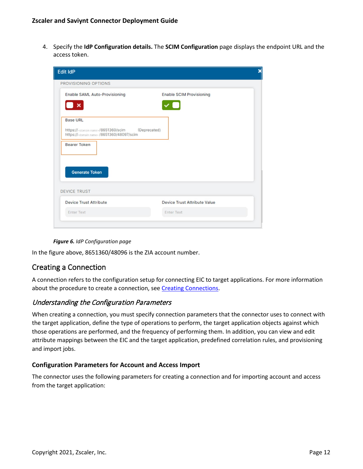4. Specify the **IdP Configuration details.** The **SCIM Configuration** page displays the endpoint URL and the access token.

| <b>Enable SAML Auto-Provisioning</b>                                                                                      | <b>Enable SCIM Provisioning</b>     |
|---------------------------------------------------------------------------------------------------------------------------|-------------------------------------|
| $\pmb{\times}$                                                                                                            |                                     |
| <b>Base URL</b>                                                                                                           |                                     |
| https:// <domain.name>/8651360/scim (Deprecated)<br/>https://<domain.name>/8651360/48097/scim</domain.name></domain.name> |                                     |
| <b>Bearer Token</b>                                                                                                       |                                     |
|                                                                                                                           |                                     |
|                                                                                                                           |                                     |
|                                                                                                                           |                                     |
| <b>Generate Token</b>                                                                                                     |                                     |
|                                                                                                                           |                                     |
| <b>DEVICE TRUST</b>                                                                                                       |                                     |
| <b>Device Trust Attribute</b>                                                                                             | <b>Device Trust Attribute Value</b> |



In the figure above, 8651360/48096 is the ZIA account number.

# <span id="page-11-0"></span>Creating a Connection

A connection refers to the configuration setup for connecting EIC to target applications. For more information about the procedure to create a connection, see [Creating Connections.](https://saviynt.freshdesk.com/support/solutions/articles/43000431233-creating-connections)

#### <span id="page-11-1"></span>Understanding the Configuration Parameters

When creating a connection, you must specify connection parameters that the connector uses to connect with the target application, define the type of operations to perform, the target application objects against which those operations are performed, and the frequency of performing them. In addition, you can view and edit attribute mappings between the EIC and the target application, predefined correlation rules, and provisioning and import jobs.

#### **Configuration Parameters for Account and Access Import**

The connector uses the following parameters for creating a connection and for importing account and access from the target application: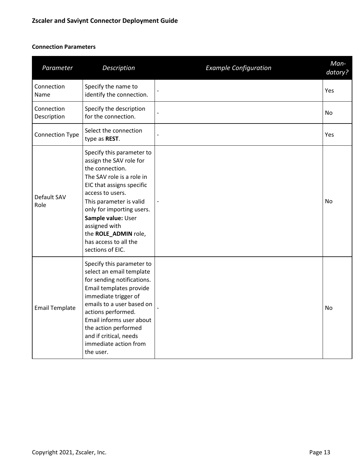# **Connection Parameters**

| Parameter                 | Description                                                                                                                                                                                                                                                                                                               | <b>Example Configuration</b> | Man-<br>datory? |
|---------------------------|---------------------------------------------------------------------------------------------------------------------------------------------------------------------------------------------------------------------------------------------------------------------------------------------------------------------------|------------------------------|-----------------|
| Connection<br>Name        | Specify the name to<br>identify the connection.                                                                                                                                                                                                                                                                           |                              | Yes             |
| Connection<br>Description | Specify the description<br>for the connection.                                                                                                                                                                                                                                                                            |                              | No              |
| <b>Connection Type</b>    | Select the connection<br>type as REST.                                                                                                                                                                                                                                                                                    |                              | Yes             |
| Default SAV<br>Role       | Specify this parameter to<br>assign the SAV role for<br>the connection.<br>The SAV role is a role in<br>EIC that assigns specific<br>access to users.<br>This parameter is valid<br>only for importing users.<br>Sample value: User<br>assigned with<br>the ROLE_ADMIN role,<br>has access to all the<br>sections of EIC. |                              | No              |
| <b>Email Template</b>     | Specify this parameter to<br>select an email template<br>for sending notifications.<br>Email templates provide<br>immediate trigger of<br>emails to a user based on<br>actions performed.<br>Email informs user about<br>the action performed<br>and if critical, needs<br>immediate action from<br>the user.             |                              | No              |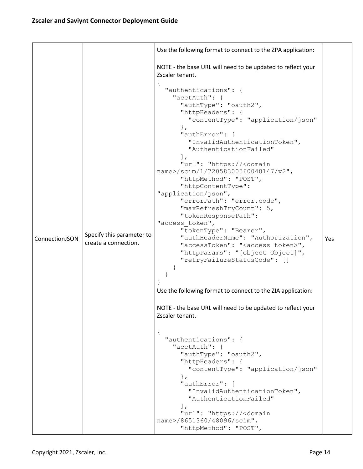|                |                                                   | Use the following format to connect to the ZPA application:                                                                                                                                                                                                                                                                                                                                                                                                                                                                                                                                                                                                                                                                                                                                                                                                                                                                                                                                                                                                                                                                                                                                               |     |
|----------------|---------------------------------------------------|-----------------------------------------------------------------------------------------------------------------------------------------------------------------------------------------------------------------------------------------------------------------------------------------------------------------------------------------------------------------------------------------------------------------------------------------------------------------------------------------------------------------------------------------------------------------------------------------------------------------------------------------------------------------------------------------------------------------------------------------------------------------------------------------------------------------------------------------------------------------------------------------------------------------------------------------------------------------------------------------------------------------------------------------------------------------------------------------------------------------------------------------------------------------------------------------------------------|-----|
|                |                                                   | NOTE - the base URL will need to be updated to reflect your<br>Zscaler tenant.                                                                                                                                                                                                                                                                                                                                                                                                                                                                                                                                                                                                                                                                                                                                                                                                                                                                                                                                                                                                                                                                                                                            |     |
| ConnectionJSON | Specify this parameter to<br>create a connection. | "authentications": {<br>"acctAuth": {<br>"authType": "oauth2",<br>"httpHeaders": {<br>"contentType": "application/json"<br>$\}$ ,<br>"authError": [<br>"InvalidAuthenticationToken",<br>"AuthenticationFailed"<br>$\cdot$<br>"url": "https:// <domain<br>name&gt;/scim/1/72058300560048147/v2",<br/>"httpMethod": "POST",<br/>"httpContentType":<br/>"application/json",<br/>"errorPath": "error.code",<br/>"maxRefreshTryCount": 5,<br/>"tokenResponsePath":<br/>"access token",<br/>"tokenType": "Bearer",<br/>"authHeaderName": "Authorization",<br/>"accessToken": "<access token="">",<br/>"httpParams": "[object Object]",<br/>"retryFailureStatusCode": []<br/>Use the following format to connect to the ZIA application:<br/>NOTE - the base URL will need to be updated to reflect your<br/>Zscaler tenant.<br/>"authentications": {<br/>"acctAuth": {<br/>"authType": "oauth2",<br/>"httpHeaders": {<br/>"contentType": "application/json"<br/><math>\}</math>,<br/>"authError": [<br/>"InvalidAuthenticationToken",<br/>"AuthenticationFailed"<br/><math>\cdot</math><br/>"url": "https://<domain<br>name&gt;/8651360/48096/scim",<br/>"httpMethod": "POST",</domain<br></access></domain<br> | Yes |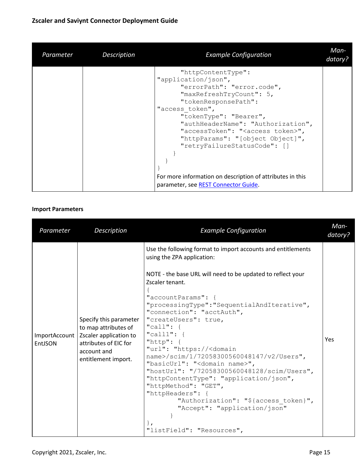# **Zscaler and Saviynt Connector Deployment Guide**

| Parameter | Description | <b>Example Configuration</b>                                                                                                                                                                                                                                                                                                                                                                                                                 | Man-<br>datory? |
|-----------|-------------|----------------------------------------------------------------------------------------------------------------------------------------------------------------------------------------------------------------------------------------------------------------------------------------------------------------------------------------------------------------------------------------------------------------------------------------------|-----------------|
|           |             | "httpContentType":<br>"application/json",<br>"errorPath": "error.code",<br>"maxRefreshTryCount": 5,<br>"tokenResponsePath":<br>"access token",<br>"tokenType": "Bearer",<br>"authHeaderName": "Authorization",<br>"accessToken": " <access token="">",<br/>"httpParams": "[object Object]",<br/>"retryFailureStatusCode": []<br/>For more information on description of attributes in this<br/>parameter, see REST Connector Guide.</access> |                 |

#### **Import Parameters**

| Parameter                | Description                                                                                                                             | <b>Example Configuration</b>                                                                                                                                                                                                                                                                                                                                                                                                                                                                                                                                                                                                                                                                                                                                                                 | Man-<br>datory? |
|--------------------------|-----------------------------------------------------------------------------------------------------------------------------------------|----------------------------------------------------------------------------------------------------------------------------------------------------------------------------------------------------------------------------------------------------------------------------------------------------------------------------------------------------------------------------------------------------------------------------------------------------------------------------------------------------------------------------------------------------------------------------------------------------------------------------------------------------------------------------------------------------------------------------------------------------------------------------------------------|-----------------|
| ImportAccount<br>EntJSON | Specify this parameter<br>to map attributes of<br>Zscaler application to<br>attributes of EIC for<br>account and<br>entitlement import. | Use the following format to import accounts and entitlements<br>using the ZPA application:<br>NOTE - the base URL will need to be updated to reflect your<br>Zscaler tenant.<br>"accountParams": {<br>"processingType":"SequentialAndIterative",<br>"connection": "acctAuth",<br>"createUsers": true,<br>"call": $\{$<br>"call1": $\{$<br>"http": $\{$<br>"url": "https:// <domain<br>name&gt;/scim/1/72058300560048147/v2/Users",<br/>"basicUrl": "<domain name="">",<br/>"hostUrl": "/72058300560048128/scim/Users",<br/>"httpContentType": "application/json",<br/>"httpMethod": "GET",<br/>"httpHeaders": {<br/>"Authorization": "\${access token}",<br/>"Accept": "application/json"<br/><math>\}</math><br/><math>\mathbf{r}</math><br/>"listField": "Resources",</domain></domain<br> | Yes             |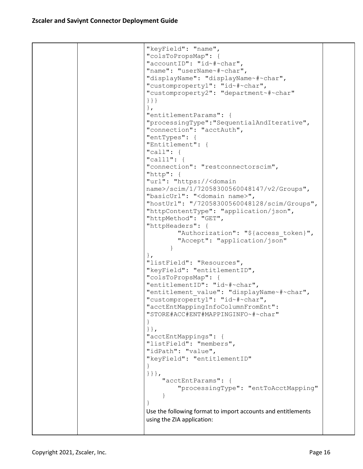```
"keyField": "name",
"colsToPropsMap": {
"accountID": "id~#~char",
"name": "userName~#~char",
"displayName": "displayName~#~char",
"customproperty1": "id~#~char",
"customproperty2": "department~#~char"
}}}
},
"entitlementParams": {
"processingType":"SequentialAndIterative",
"connection": "acctAuth",
"entTypes": {
"Entitlement": {
"call": {
"call1": {
"connection": "restconnectorscim",
"http": {
"url": "https://<domain 
name>/scim/1/72058300560048147/v2/Groups",
"basicUrl": "<domain name>",
"hostUrl": "/72058300560048128/scim/Groups",
"httpContentType": "application/json",
"httpMethod": "GET",
"httpHeaders": {
        "Authorization": "${access token}",
         "Accept": "application/json"
 }
},
"listField": "Resources",
"keyField": "entitlementID",
"colsToPropsMap": {
"entitlementID": "id~#~char",
"entitlement value": "displayName~#~char",
"customproperty1": "id~#~char",
"acctEntMappingInfoColumnFromEnt": 
"STORE#ACC#ENT#MAPPINGINFO~#~char"
}
}},
"acctEntMappings": {
"listField": "members",
"idPath": "value",
"keyField": "entitlementID"
}
}}},
     "acctEntParams": {
         "processingType": "entToAcctMapping"
 }
}
Use the following format to import accounts and entitlements 
using the ZIA application:
```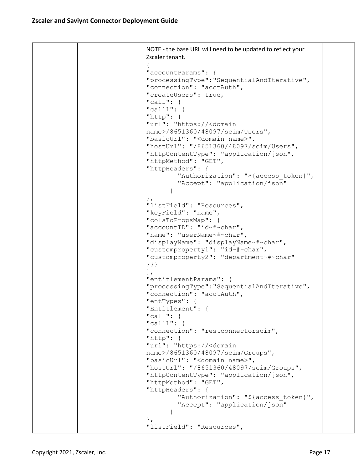NOTE - the base URL will need to be updated to reflect your Zscaler tenant. { "accountParams": { "processingType":"SequentialAndIterative", "connection": "acctAuth", "createUsers": true, "call": { "call1": { "http": { "url": "https://<domain name>/8651360/48097/scim/Users", "basicUrl": "<domain name>", "hostUrl": "/8651360/48097/scim/Users", "httpContentType": "application/json", "httpMethod": "GET", "httpHeaders": { "Authorization": "\${access token}", "Accept": "application/json" } }, "listField": "Resources", "keyField": "name", "colsToPropsMap": { "accountID": "id~#~char", "name": "userName~#~char", "displayName": "displayName~#~char", "customproperty1": "id~#~char", "customproperty2": "department~#~char" }}} }, "entitlementParams": { "processingType":"SequentialAndIterative", "connection": "acctAuth", "entTypes": { "Entitlement": { "call": { "call1": { "connection": "restconnectorscim", "http": { "url": "https://<domain name>/8651360/48097/scim/Groups", "basicUrl": "<domain name>", "hostUrl": "/8651360/48097/scim/Groups", "httpContentType": "application/json", "httpMethod": "GET", "httpHeaders": { "Authorization": "\${access token}", "Accept": "application/json" } }, "listField": "Resources",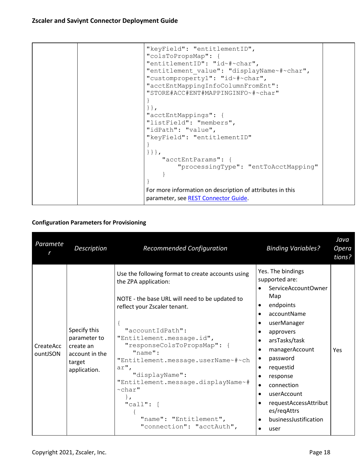```
"keyField": "entitlementID",
"colsToPropsMap": {
"entitlementID": "id~#~char",
"entitlement value": "displayName~#~char",
"customproperty1": "id~#~char",
"acctEntMappingInfoColumnFromEnt": 
"STORE#ACC#ENT#MAPPINGINFO~#~char"
}
}},
"acctEntMappings": {
"listField": "members",
"idPath": "value",
"keyField": "entitlementID"
}
}}},
     "acctEntParams": {
         "processingType": "entToAcctMapping"
     }
}
For more information on description of attributes in this 
parameter, see REST Connector Guide.
```
### **Configuration Parameters for Provisioning**

| Paramete              | Description                                                                           | <b>Recommended Configuration</b>                                                                                                                                                                                                                                                                                                                                                                                                                                                 | <b>Binding Variables?</b>                                                                                                                                                                                                                                                                                                                                                                                                 | Java<br>Opera<br>tions? |
|-----------------------|---------------------------------------------------------------------------------------|----------------------------------------------------------------------------------------------------------------------------------------------------------------------------------------------------------------------------------------------------------------------------------------------------------------------------------------------------------------------------------------------------------------------------------------------------------------------------------|---------------------------------------------------------------------------------------------------------------------------------------------------------------------------------------------------------------------------------------------------------------------------------------------------------------------------------------------------------------------------------------------------------------------------|-------------------------|
| CreateAcc<br>ountJSON | Specify this<br>parameter to<br>create an<br>account in the<br>target<br>application. | Use the following format to create accounts using<br>the ZPA application:<br>NOTE - the base URL will need to be updated to<br>reflect your Zscaler tenant.<br>$\mathcal{A}$<br>"accountIdPath":<br>"Entitlement.message.id",<br>"responseColsToPropsMap": {<br>$"name"$ :<br>"Entitlement.message.userName~#~ch<br>ar",<br>"displayName":<br>"Entitlement.message.displayName~#<br>$\sim$ char"<br>$\}$ ,<br>$"call":$ [<br>"name": "Entitlement",<br>"connection": "acctAuth", | Yes. The bindings<br>supported are:<br>ServiceAccountOwner<br>$\bullet$<br>Map<br>endpoints<br>accountName<br>$\bullet$<br>userManager<br>approvers<br>٠<br>arsTasks/task<br>$\bullet$<br>managerAccount<br>password<br>$\bullet$<br>requestid<br>٠<br>response<br>connection<br>$\bullet$<br>userAccount<br>$\bullet$<br>requestAccessAttribut<br>es/regAttrs<br>businessJustification<br>$\bullet$<br>$\bullet$<br>user | Yes                     |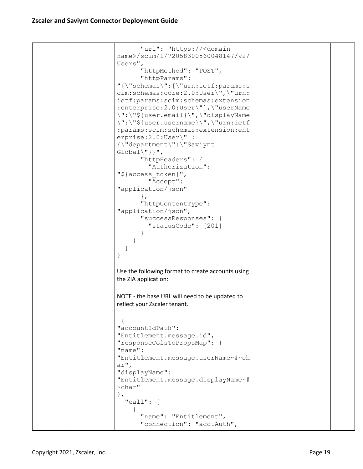```
 "url": "https://<domain 
name>/scim/1/72058300560048147/v2/
Users",
       "httpMethod": "POST",
       "httpParams": 
"{\"schemas\":[\"urn:ietf:params:s
cim:schemas:core:2.0:User\",\"urn:
ietf:params:scim:schemas:extension
:enterprise:2.0:User\"],\"userName
\":\"${user.email}\",\"displayName
\":\"${user.username}\",\"urn:ietf
:params:scim:schemas:extension:ent
erprise:2.0:User\" : 
{\"department\":\"Saviynt 
Global\''] } ",
       "httpHeaders": {
          "Authorization": 
"${access_token}",
          "Accept": 
"application/json"
       },
       "httpContentType": 
"application/json",
       "successResponses": {
          "statusCode": [201]
 }
     }
  \Box}
Use the following format to create accounts using 
the ZIA application:
NOTE - the base URL will need to be updated to 
reflect your Zscaler tenant.
 {
"accountIdPath": 
"Entitlement.message.id",
"responseColsToPropsMap": {
"name": 
"Entitlement.message.userName~#~ch
ar",
"displayName": 
"Entitlement.message.displayName~#
~char"
},
   "call": [
     {
       "name": "Entitlement",
       "connection": "acctAuth",
```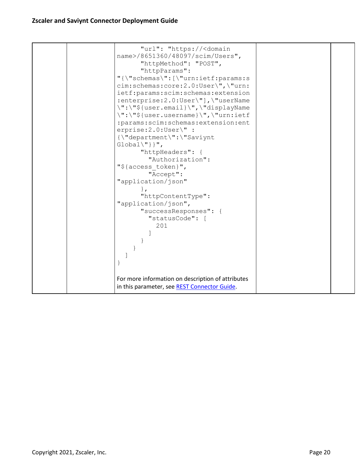| "url": "https:// <domain<br>name&gt;/8651360/48097/scim/Users",<br/>"httpMethod": "POST",<br/>"httpParams":<br/>"{\"schemas\":[\"urn:ietf:params:s<br/>cim:schemas:core:2.0:User\",\"urn:<br/>ietf:params:scim:schemas:extension<br/>:enterprise: 2.0: User\"], \"userName<br/>\":\"\${user.email}\",\"displayName<br/>\":\"\${user.username}\",\"urn:ietf<br/>:params:scim:schemas:extension:ent<br/>erprise:2.0:User\" :<br/>{\"department\":\"Saviynt<br/><math>Global\{'\''}</math>} ",<br/>"httpHeaders": {<br/>"Authorization":<br/>"\${access token}",<br/>"Accept":<br/>"application/json"</domain<br> |  |
|----------------------------------------------------------------------------------------------------------------------------------------------------------------------------------------------------------------------------------------------------------------------------------------------------------------------------------------------------------------------------------------------------------------------------------------------------------------------------------------------------------------------------------------------------------------------------------------------------------------|--|
|                                                                                                                                                                                                                                                                                                                                                                                                                                                                                                                                                                                                                |  |
|                                                                                                                                                                                                                                                                                                                                                                                                                                                                                                                                                                                                                |  |
| $\}$ ,                                                                                                                                                                                                                                                                                                                                                                                                                                                                                                                                                                                                         |  |
| "httpContentType":<br>"application/json",<br>"successResponses": {                                                                                                                                                                                                                                                                                                                                                                                                                                                                                                                                             |  |
| "statusCode": [<br>201                                                                                                                                                                                                                                                                                                                                                                                                                                                                                                                                                                                         |  |
|                                                                                                                                                                                                                                                                                                                                                                                                                                                                                                                                                                                                                |  |
| }                                                                                                                                                                                                                                                                                                                                                                                                                                                                                                                                                                                                              |  |
| For more information on description of attributes<br>in this parameter, see REST Connector Guide.                                                                                                                                                                                                                                                                                                                                                                                                                                                                                                              |  |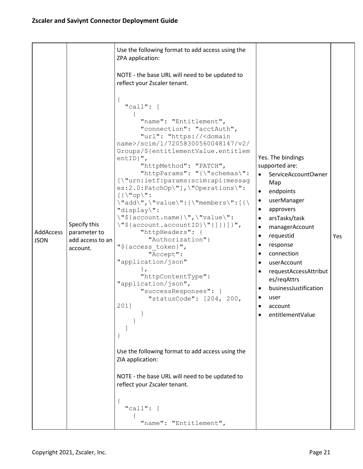|                          |                                                              | Use the following format to add access using the<br>ZPA application:                                                                                                                                                                                                                                                                                                                                                                                                                                                                                                                                                                                                                                                                                                                                                      |                                                                                                                                                                                                                                                                                                                               |     |
|--------------------------|--------------------------------------------------------------|---------------------------------------------------------------------------------------------------------------------------------------------------------------------------------------------------------------------------------------------------------------------------------------------------------------------------------------------------------------------------------------------------------------------------------------------------------------------------------------------------------------------------------------------------------------------------------------------------------------------------------------------------------------------------------------------------------------------------------------------------------------------------------------------------------------------------|-------------------------------------------------------------------------------------------------------------------------------------------------------------------------------------------------------------------------------------------------------------------------------------------------------------------------------|-----|
|                          |                                                              | NOTE - the base URL will need to be updated to<br>reflect your Zscaler tenant.                                                                                                                                                                                                                                                                                                                                                                                                                                                                                                                                                                                                                                                                                                                                            |                                                                                                                                                                                                                                                                                                                               |     |
| AddAccess<br><b>JSON</b> | Specify this<br>parameter to<br>add access to an<br>account. | $\mathfrak{t}$<br>"call": $[$<br>"name": "Entitlement",<br>"connection": "acctAuth",<br>"url": "https:// <domain<br>name&gt;/scim/1/72058300560048147/v2/<br/>Groups/\${entitlementValue.entitlem<br/><math>entID</math>,",<br/>"httpMethod": "PATCH",<br/>"httpParams": "{\"schemas\":<br/>[\"urn:ietf:params:scim:api:messag<br/>es:2.0:PatchOp\"],\"Operations\":<br/><math>[\{\langle "op \rangle":</math><br/>\"add\",\"value\":{\"members\":[{\<br/>"display\":<br/>\"\${account.name}\",\"value\":<br/><math>\Upsilon</math>"\${account.accountID}<math>\Upsilon</math>"}]}}]}",<br/>"httpHeaders": {<br/>"Authorization":<br/>"\${access token}",<br/>"Accept":<br/>"application/json"<br/>"httpContentType":<br/>"application/json",<br/>"successResponses": {<br/>"statusCode": [204, 200,<br/>201]</domain<br> | Yes. The bindings<br>supported are:<br>ServiceAccountOwner<br>Map<br>endpoints<br>userManager<br>٠<br>approvers<br>arsTasks/task<br>managerAccount<br>requestid<br>$\bullet$<br>response<br>connection<br>userAccount<br>requestAccessAttribut<br>es/regAttrs<br>businessJustification<br>user<br>account<br>entitlementValue | Yes |
|                          |                                                              | Use the following format to add access using the<br>ZIA application:                                                                                                                                                                                                                                                                                                                                                                                                                                                                                                                                                                                                                                                                                                                                                      |                                                                                                                                                                                                                                                                                                                               |     |
|                          |                                                              | NOTE - the base URL will need to be updated to<br>reflect your Zscaler tenant.                                                                                                                                                                                                                                                                                                                                                                                                                                                                                                                                                                                                                                                                                                                                            |                                                                                                                                                                                                                                                                                                                               |     |
|                          |                                                              | "call": [                                                                                                                                                                                                                                                                                                                                                                                                                                                                                                                                                                                                                                                                                                                                                                                                                 |                                                                                                                                                                                                                                                                                                                               |     |
|                          |                                                              | "name": "Entitlement",                                                                                                                                                                                                                                                                                                                                                                                                                                                                                                                                                                                                                                                                                                                                                                                                    |                                                                                                                                                                                                                                                                                                                               |     |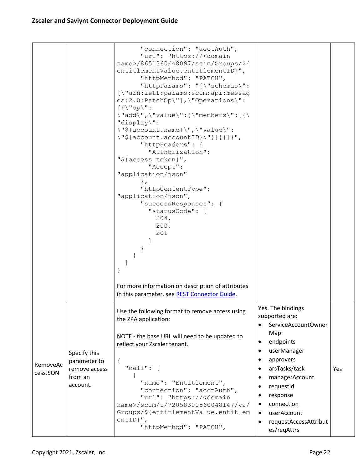|                      |                                                                      | "connection": "acctAuth",<br>"url": "https:// <domain<br>name&gt;/8651360/48097/scim/Groups/\${<br/>entitlementValue.entitlementID}",<br/>"httpMethod": "PATCH",<br/>"httpParams": "{\"schemas\":<br/>[\"urn:ietf:params:scim:api:messag<br/>es:2.0:PatchOp\"],\"Operations\":<br/><math>[</math>{\"op\":<br/><math>\forall "add\\", \forall "value\\": {\forall "members\\".[ {\forall}</math><br/>"display\":<br/><math>\forall</math>"\${account.name}<math>\forall</math>", <math>\forall</math>"value<math>\forall</math>":<br/><math>\{\texttt{account}.\texttt{accountID}\}\</math> } } } } } } ,<br/>"httpHeaders": {<br/>"Authorization":<br/>"\${access token}",<br/>"Accept":<br/>"application/json"<br/><math>\mathbf{L}</math><br/>"httpContentType":<br/>"application/json",<br/>"successResponses": {<br/>"statusCode": [<br/>204,<br/>200,<br/>201</domain<br> |                                                                                                                                                                                                                                                                                                                           |     |
|----------------------|----------------------------------------------------------------------|--------------------------------------------------------------------------------------------------------------------------------------------------------------------------------------------------------------------------------------------------------------------------------------------------------------------------------------------------------------------------------------------------------------------------------------------------------------------------------------------------------------------------------------------------------------------------------------------------------------------------------------------------------------------------------------------------------------------------------------------------------------------------------------------------------------------------------------------------------------------------------|---------------------------------------------------------------------------------------------------------------------------------------------------------------------------------------------------------------------------------------------------------------------------------------------------------------------------|-----|
|                      |                                                                      | For more information on description of attributes<br>in this parameter, see REST Connector Guide.                                                                                                                                                                                                                                                                                                                                                                                                                                                                                                                                                                                                                                                                                                                                                                              |                                                                                                                                                                                                                                                                                                                           |     |
| RemoveAc<br>cessJSON | Specify this<br>parameter to<br>remove access<br>from an<br>account. | Use the following format to remove access using<br>the ZPA application:<br>NOTE - the base URL will need to be updated to<br>reflect your Zscaler tenant.<br>$\{$<br>"call": $[$<br>"name": "Entitlement",<br>"connection": "acctAuth",<br>"url": "https:// <domain<br>name&gt;/scim/1/72058300560048147/v2/<br/>Groups/\${entitlementValue.entitlem<br/>entID<math>}'</math>,<br/>"httpMethod": "PATCH",</domain<br>                                                                                                                                                                                                                                                                                                                                                                                                                                                          | Yes. The bindings<br>supported are:<br>ServiceAccountOwner<br>$\bullet$<br>Map<br>endpoints<br>$\bullet$<br>userManager<br>$\bullet$<br>approvers<br>$\bullet$<br>arsTasks/task<br>managerAccount<br>$\bullet$<br>requestid<br>response<br>connection<br>userAccount<br>$\bullet$<br>requestAccessAttribut<br>es/regAttrs | Yes |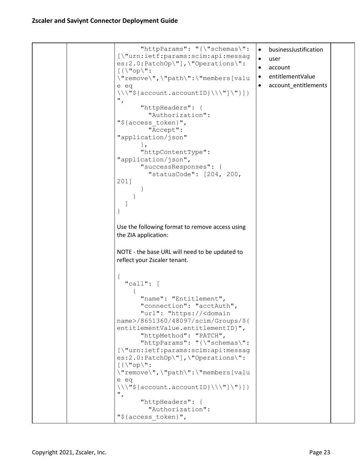```
 "httpParams": "{\"schemas\": 
[\"urn:ietf:params:scim:api:messag
es:2.0:PatchOp\"],\"Operations\": 
[\{\setminus "\text{op}\setminus "\colon\"remove\",\"path\":\"members[valu
e eq 
\{\{\setminus\} \text{ "}\{account.accountID}\\\"]\"}]}
",
        "httpHeaders": {
          "Authorization": 
"${access_token}",
          "Accept": 
"application/json"
        },
        "httpContentType": 
"application/json",
        "successResponses": {
          "statusCode": [204, 200, 
201]
        }
      }
  \lceil}
Use the following format to remove access using 
the ZIA application:
NOTE - the base URL will need to be updated to 
reflect your Zscaler tenant.
{
   "call": [
     {
        "name": "Entitlement",
        "connection": "acctAuth",
        "url": "https://<domain 
name>/8651360/48097/scim/Groups/${
entitlementValue.entitlementID}",
        "httpMethod": "PATCH",
        "httpParams": "{\"schemas\": 
[\"urn:ietf:params:scim:api:messag
es:2.0:PatchOp\"],\"Operations\": 
[\{\n\"op\n\right]'':
\"remove\",\"path\":\"members[valu
e eq 
\{\{\verb|account.accountID|\\\\|"\}",
        "httpHeaders": {
          "Authorization": 
"${access_token}",
                                           • businessJustification
                                           • user
                                            • account
                                           • entitlementValue
                                            • account entitlements
```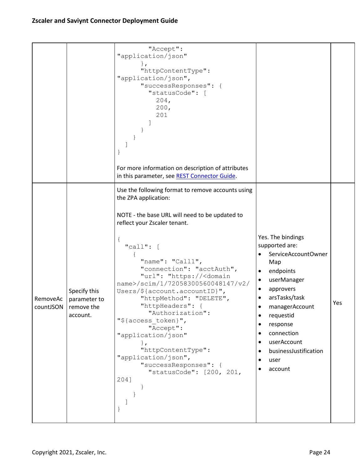|          |                                                                    | "Accept":<br>"application/json"<br>$\}$ ,<br>"httpContentType":<br>"application/json",<br>"successResponses": {<br>"statusCode": [<br>204,<br>200,<br>201<br>For more information on description of attributes<br>in this parameter, see REST Connector Guide.                                                                                                                                                                                                                                                                                                                                                        |                                                                                                                                                                                                                                                                                                                                                 |     |
|----------|--------------------------------------------------------------------|-----------------------------------------------------------------------------------------------------------------------------------------------------------------------------------------------------------------------------------------------------------------------------------------------------------------------------------------------------------------------------------------------------------------------------------------------------------------------------------------------------------------------------------------------------------------------------------------------------------------------|-------------------------------------------------------------------------------------------------------------------------------------------------------------------------------------------------------------------------------------------------------------------------------------------------------------------------------------------------|-----|
| RemoveAc | Specify this<br>parameter to<br>countJSON   remove the<br>account. | Use the following format to remove accounts using<br>the ZPA application:<br>NOTE - the base URL will need to be updated to<br>reflect your Zscaler tenant.<br>"call": $[$<br>"name": "Call1",<br>"connection": "acctAuth",<br>"url": "https:// <domain<br>name&gt;/scim/1/72058300560048147/v2/<br/>Users/\${account.accountID}",<br/>"httpMethod": "DELETE",<br/>"httpHeaders": {<br/>"Authorization":<br/>"\${access token}",<br/>"Accept":<br/>"application/json"<br/><math>\}</math>,<br/>"httpContentType":<br/>"application/json",<br/>"successResponses": {<br/>"statusCode": [200, 201,<br/>204]</domain<br> | Yes. The bindings<br>supported are:<br>ServiceAccountOwner<br>Map<br>endpoints<br>$\bullet$<br>userManager<br>٠<br>approvers<br>$\bullet$<br>arsTasks/task<br>managerAccount<br>requestid<br>$\bullet$<br>response<br>$\bullet$<br>connection<br>$\bullet$<br>userAccount<br>$\bullet$<br>businessJustification<br>user<br>$\bullet$<br>account | Yes |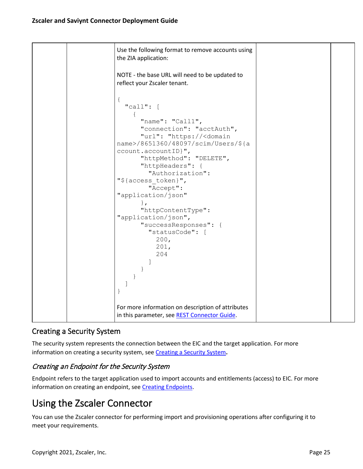|  | Use the following format to remove accounts using<br>the ZIA application:                                                                                            |  |
|--|----------------------------------------------------------------------------------------------------------------------------------------------------------------------|--|
|  | NOTE - the base URL will need to be updated to<br>reflect your Zscaler tenant.                                                                                       |  |
|  | $\{$<br>"call": [<br>$\left\{ \right.$<br>"name": "Call1",<br>"connection": "acctAuth",                                                                              |  |
|  | "url": "https:// <domain<br>name&gt;/8651360/48097/scim/Users/\${a<br/><math>ccount.accountID</math>,",<br/>"httpMethod": "DELETE",<br/>"httpHeaders": {</domain<br> |  |
|  | "Authorization":<br>"\${access_token}",<br>"Accept":<br>"application/json"<br>$\}$ ,                                                                                 |  |
|  | "httpContentType":<br>"application/json",<br>"successResponses": {<br>"statusCode": [<br>200,<br>201,<br>204                                                         |  |
|  |                                                                                                                                                                      |  |
|  | For more information on description of attributes<br>in this parameter, see REST Connector Guide.                                                                    |  |

# <span id="page-24-0"></span>Creating a Security System

The security system represents the connection between the EIC and the target application. For more information on creating a security system, see [Creating a Security System](https://saviynt.freshdesk.com/support/solutions/articles/43000431563-creating-a-security-system)**.**

# <span id="page-24-1"></span>Creating an Endpoint for the Security System

Endpoint refers to the target application used to import accounts and entitlements (access) to EIC. For more information on creating an endpoint, see [Creating Endpoints.](https://saviynt.freshdesk.com/support/solutions/articles/43000556316-creating-endpoints)

# <span id="page-24-2"></span>Using the Zscaler Connector

You can use the Zscaler connector for performing import and provisioning operations after configuring it to meet your requirements.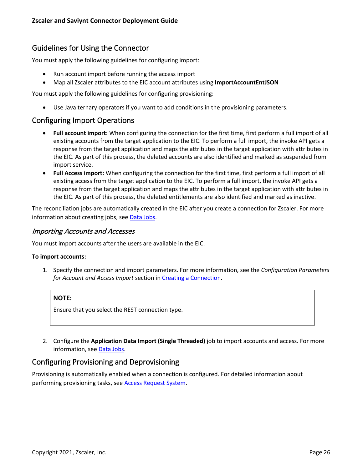# <span id="page-25-0"></span>Guidelines for Using the Connector

You must apply the following guidelines for configuring import:

- Run account import before running the access import
- Map all Zscaler attributes to the EIC account attributes using **ImportAccountEntJSON**

You must apply the following guidelines for configuring provisioning:

• Use Java ternary operators if you want to add conditions in the provisioning parameters.

# <span id="page-25-1"></span>Configuring Import Operations

- **Full account import:** When configuring the connection for the first time, first perform a full import of all existing accounts from the target application to the EIC. To perform a full import, the invoke API gets a response from the target application and maps the attributes in the target application with attributes in the EIC. As part of this process, the deleted accounts are also identified and marked as suspended from import service.
- **Full Access import:** When configuring the connection for the first time, first perform a full import of all existing access from the target application to the EIC. To perform a full import, the invoke API gets a response from the target application and maps the attributes in the target application with attributes in the EIC. As part of this process, the deleted entitlements are also identified and marked as inactive.

The reconciliation jobs are automatically created in the EIC after you create a connection for Zscaler. For more information about creating jobs, see [Data Jobs.](https://saviynt.freshdesk.com/support/solutions/articles/43000608272-job-categories-for-flat-job-control-panel#JobCategoriesforFlatJobControlPanel-Data)

#### <span id="page-25-2"></span>Importing Accounts and Accesses

You must import accounts after the users are available in the EIC.

#### **To import accounts:**

1. Specify the connection and import parameters. For more information, see the *Configuration Parameters for Account and Access Import* section in [Creating a Connection.](https://saviynt.freshdesk.com/support/solutions/articles/43000638736#ZscalerConnectorGuide-CreatingaConnection)

#### **NOTE:**

Ensure that you select the REST connection type.

2. Configure the **Application Data Import (Single Threaded)** job to import accounts and access. For more information, see [Data Jobs.](https://saviynt.freshdesk.com/support/solutions/articles/43000608272-job-categories-for-flat-job-control-panel#JobCategoriesforFlatJobControlPanel-Data)

### <span id="page-25-3"></span>Configuring Provisioning and Deprovisioning

Provisioning is automatically enabled when a connection is configured. For detailed information about performing provisioning tasks, see **Access Request System**.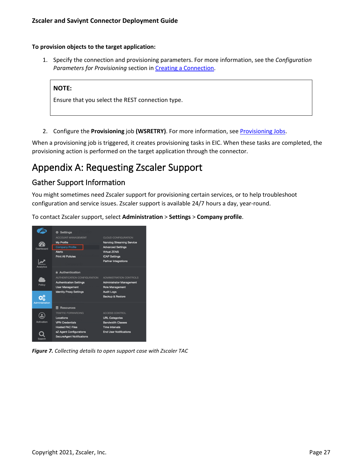#### **To provision objects to the target application:**

1. Specify the connection and provisioning parameters. For more information, see the *Configuration*  Parameters for Provisioning section in [Creating a Connection.](https://saviynt.freshdesk.com/support/solutions/articles/43000638736#ZscalerConnectorGuide-CreatingaConnection)

#### **NOTE:**

<span id="page-26-2"></span>Ensure that you select the REST connection type.

2. Configure the **Provisioning** job **(WSRETRY)**. For more information, see [Provisioning Jobs.](https://saviynt.freshdesk.com/support/solutions/articles/43000608272-job-categories-for-flat-job-control-panel#JobCategoriesforFlatJobControlPanel-Utility)

When a provisioning job is triggered, it creates provisioning tasks in EIC. When these tasks are completed, the provisioning action is performed on the target application through the connector.

# <span id="page-26-0"></span>Appendix A: Requesting Zscaler Support

# <span id="page-26-1"></span>Gather Support Information

You might sometimes need Zscaler support for provisioning certain services, or to help troubleshoot configuration and service issues. Zscaler support is available 24/7 hours a day, year-round.

To contact Zscaler support, select **Administration** > **Settings** > **Company profile**.



*Figure 7. Collecting details to open support case with Zscaler TAC*